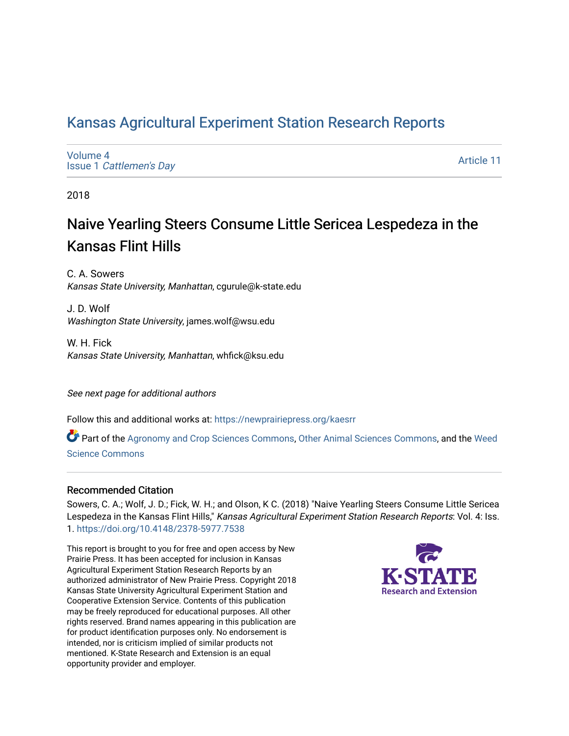# [Kansas Agricultural Experiment Station Research Reports](https://newprairiepress.org/kaesrr)

[Volume 4](https://newprairiepress.org/kaesrr/vol4) Issue 1 [Cattlemen's Day](https://newprairiepress.org/kaesrr/vol4/iss1) 

[Article 11](https://newprairiepress.org/kaesrr/vol4/iss1/11) 

2018

# Naive Yearling Steers Consume Little Sericea Lespedeza in the Kansas Flint Hills

C. A. Sowers Kansas State University, Manhattan, cgurule@k-state.edu

J. D. Wolf Washington State University, james.wolf@wsu.edu

W. H. Fick Kansas State University, Manhattan, whfick@ksu.edu

See next page for additional authors

Follow this and additional works at: [https://newprairiepress.org/kaesrr](https://newprairiepress.org/kaesrr?utm_source=newprairiepress.org%2Fkaesrr%2Fvol4%2Fiss1%2F11&utm_medium=PDF&utm_campaign=PDFCoverPages) 

Part of the [Agronomy and Crop Sciences Commons,](http://network.bepress.com/hgg/discipline/103?utm_source=newprairiepress.org%2Fkaesrr%2Fvol4%2Fiss1%2F11&utm_medium=PDF&utm_campaign=PDFCoverPages) [Other Animal Sciences Commons](http://network.bepress.com/hgg/discipline/82?utm_source=newprairiepress.org%2Fkaesrr%2Fvol4%2Fiss1%2F11&utm_medium=PDF&utm_campaign=PDFCoverPages), and the [Weed](http://network.bepress.com/hgg/discipline/1267?utm_source=newprairiepress.org%2Fkaesrr%2Fvol4%2Fiss1%2F11&utm_medium=PDF&utm_campaign=PDFCoverPages) [Science Commons](http://network.bepress.com/hgg/discipline/1267?utm_source=newprairiepress.org%2Fkaesrr%2Fvol4%2Fiss1%2F11&utm_medium=PDF&utm_campaign=PDFCoverPages) 

### Recommended Citation

Sowers, C. A.; Wolf, J. D.; Fick, W. H.; and Olson, K C. (2018) "Naive Yearling Steers Consume Little Sericea Lespedeza in the Kansas Flint Hills," Kansas Agricultural Experiment Station Research Reports: Vol. 4: Iss. 1. <https://doi.org/10.4148/2378-5977.7538>

This report is brought to you for free and open access by New Prairie Press. It has been accepted for inclusion in Kansas Agricultural Experiment Station Research Reports by an authorized administrator of New Prairie Press. Copyright 2018 Kansas State University Agricultural Experiment Station and Cooperative Extension Service. Contents of this publication may be freely reproduced for educational purposes. All other rights reserved. Brand names appearing in this publication are for product identification purposes only. No endorsement is intended, nor is criticism implied of similar products not mentioned. K-State Research and Extension is an equal opportunity provider and employer.

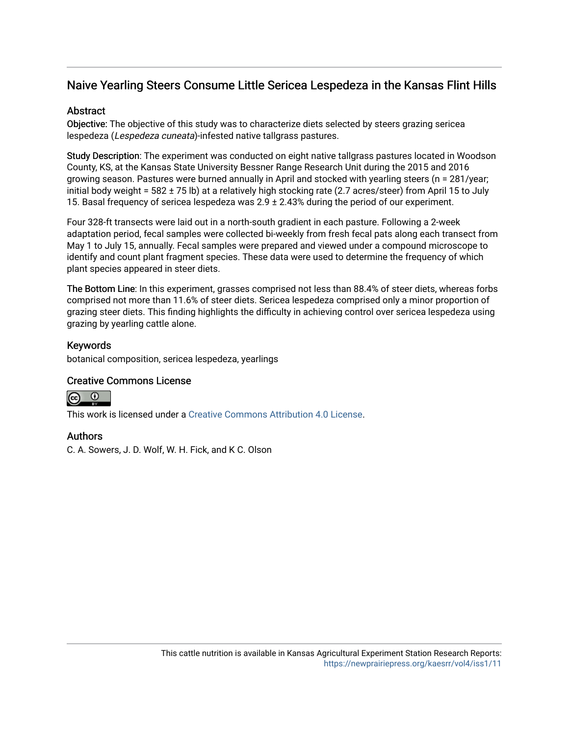# Naive Yearling Steers Consume Little Sericea Lespedeza in the Kansas Flint Hills

### **Abstract**

Objective: The objective of this study was to characterize diets selected by steers grazing sericea lespedeza (Lespedeza cuneata)-infested native tallgrass pastures.

Study Description: The experiment was conducted on eight native tallgrass pastures located in Woodson County, KS, at the Kansas State University Bessner Range Research Unit during the 2015 and 2016 growing season. Pastures were burned annually in April and stocked with yearling steers (n = 281/year; initial body weight = 582 ± 75 lb) at a relatively high stocking rate (2.7 acres/steer) from April 15 to July 15. Basal frequency of sericea lespedeza was  $2.9 \pm 2.43\%$  during the period of our experiment.

Four 328-ft transects were laid out in a north-south gradient in each pasture. Following a 2-week adaptation period, fecal samples were collected bi-weekly from fresh fecal pats along each transect from May 1 to July 15, annually. Fecal samples were prepared and viewed under a compound microscope to identify and count plant fragment species. These data were used to determine the frequency of which plant species appeared in steer diets.

The Bottom Line: In this experiment, grasses comprised not less than 88.4% of steer diets, whereas forbs comprised not more than 11.6% of steer diets. Sericea lespedeza comprised only a minor proportion of grazing steer diets. This finding highlights the difficulty in achieving control over sericea lespedeza using grazing by yearling cattle alone.

# Keywords

botanical composition, sericea lespedeza, yearlings

# Creative Commons License



This work is licensed under a [Creative Commons Attribution 4.0 License](https://creativecommons.org/licenses/by/4.0/).

### Authors

C. A. Sowers, J. D. Wolf, W. H. Fick, and K C. Olson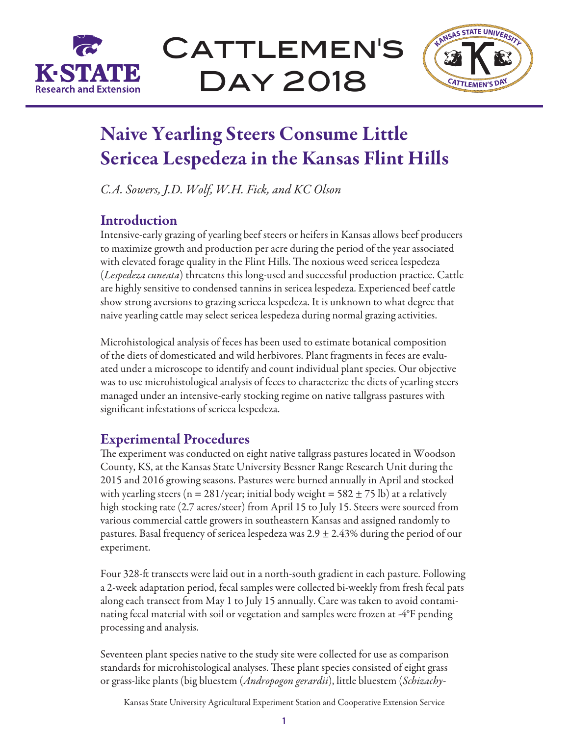

CATTLEMEN'S Day 2018



# Naive Yearling Steers Consume Little Sericea Lespedeza in the Kansas Flint Hills

*C.A. Sowers, J.D. Wolf, W.H. Fick, and KC Olson*

# **Introduction**

Intensive-early grazing of yearling beef steers or heifers in Kansas allows beef producers to maximize growth and production per acre during the period of the year associated with elevated forage quality in the Flint Hills. The noxious weed sericea lespedeza (*Lespedeza cuneata*) threatens this long-used and successful production practice. Cattle are highly sensitive to condensed tannins in sericea lespedeza. Experienced beef cattle show strong aversions to grazing sericea lespedeza. It is unknown to what degree that naive yearling cattle may select sericea lespedeza during normal grazing activities.

Microhistological analysis of feces has been used to estimate botanical composition of the diets of domesticated and wild herbivores. Plant fragments in feces are evaluated under a microscope to identify and count individual plant species. Our objective was to use microhistological analysis of feces to characterize the diets of yearling steers managed under an intensive-early stocking regime on native tallgrass pastures with significant infestations of sericea lespedeza.

# Experimental Procedures

The experiment was conducted on eight native tallgrass pastures located in Woodson County, KS, at the Kansas State University Bessner Range Research Unit during the 2015 and 2016 growing seasons. Pastures were burned annually in April and stocked with yearling steers (n = 281/year; initial body weight = 582  $\pm$  75 lb) at a relatively high stocking rate (2.7 acres/steer) from April 15 to July 15. Steers were sourced from various commercial cattle growers in southeastern Kansas and assigned randomly to pastures. Basal frequency of sericea lespedeza was  $2.9 \pm 2.43\%$  during the period of our experiment.

Four 328-ft transects were laid out in a north-south gradient in each pasture. Following a 2-week adaptation period, fecal samples were collected bi-weekly from fresh fecal pats along each transect from May 1 to July 15 annually. Care was taken to avoid contaminating fecal material with soil or vegetation and samples were frozen at -4°F pending processing and analysis.

Seventeen plant species native to the study site were collected for use as comparison standards for microhistological analyses. These plant species consisted of eight grass or grass-like plants (big bluestem (*Andropogon gerardii*), little bluestem (*Schizachy-*

Kansas State University Agricultural Experiment Station and Cooperative Extension Service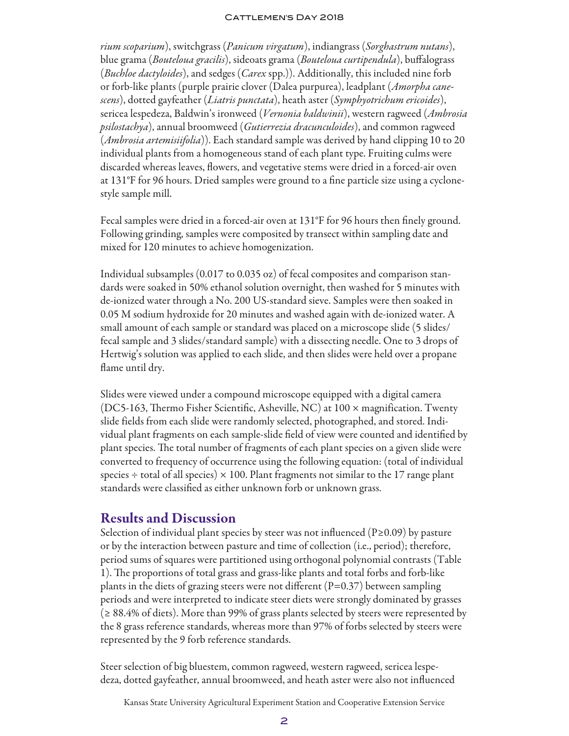#### CATTLEMEN'S DAY 2018

*rium scoparium*), switchgrass (*Panicum virgatum*), indiangrass (*Sorghastrum nutans*), blue grama (*Bouteloua gracilis*), sideoats grama (*Bouteloua curtipendula*), buffalograss (*Buchloe dactyloides*), and sedges (*Carex* spp.)). Additionally, this included nine forb or forb-like plants (purple prairie clover (Dalea purpurea), leadplant (*Amorpha canescens*), dotted gayfeather (*Liatris punctata*), heath aster (*Symphyotrichum ericoides*), sericea lespedeza, Baldwin's ironweed (*Vernonia baldwinii*), western ragweed (*Ambrosia psilostachya*), annual broomweed (*Gutierrezia dracunculoides*), and common ragweed (*Ambrosia artemisiifolia*)). Each standard sample was derived by hand clipping 10 to 20 individual plants from a homogeneous stand of each plant type. Fruiting culms were discarded whereas leaves, flowers, and vegetative stems were dried in a forced-air oven at 131°F for 96 hours. Dried samples were ground to a fine particle size using a cyclonestyle sample mill.

Fecal samples were dried in a forced-air oven at 131°F for 96 hours then finely ground. Following grinding, samples were composited by transect within sampling date and mixed for 120 minutes to achieve homogenization.

Individual subsamples (0.017 to 0.035 oz) of fecal composites and comparison standards were soaked in 50% ethanol solution overnight, then washed for 5 minutes with de-ionized water through a No. 200 US-standard sieve. Samples were then soaked in 0.05 M sodium hydroxide for 20 minutes and washed again with de-ionized water. A small amount of each sample or standard was placed on a microscope slide (5 slides/ fecal sample and 3 slides/standard sample) with a dissecting needle. One to 3 drops of Hertwig's solution was applied to each slide, and then slides were held over a propane flame until dry.

Slides were viewed under a compound microscope equipped with a digital camera (DC5-163, Thermo Fisher Scientific, Asheville, NC) at 100 × magnification. Twenty slide fields from each slide were randomly selected, photographed, and stored. Individual plant fragments on each sample-slide field of view were counted and identified by plant species. The total number of fragments of each plant species on a given slide were converted to frequency of occurrence using the following equation: (total of individual species  $\div$  total of all species)  $\times$  100. Plant fragments not similar to the 17 range plant standards were classified as either unknown forb or unknown grass.

# Results and Discussion

Selection of individual plant species by steer was not influenced ( $P \ge 0.09$ ) by pasture or by the interaction between pasture and time of collection (i.e., period); therefore, period sums of squares were partitioned using orthogonal polynomial contrasts (Table 1). The proportions of total grass and grass-like plants and total forbs and forb-like plants in the diets of grazing steers were not different  $(P=0.37)$  between sampling periods and were interpreted to indicate steer diets were strongly dominated by grasses (≥ 88.4% of diets). More than 99% of grass plants selected by steers were represented by the 8 grass reference standards, whereas more than 97% of forbs selected by steers were represented by the 9 forb reference standards.

Steer selection of big bluestem, common ragweed, western ragweed, sericea lespedeza, dotted gayfeather, annual broomweed, and heath aster were also not influenced

Kansas State University Agricultural Experiment Station and Cooperative Extension Service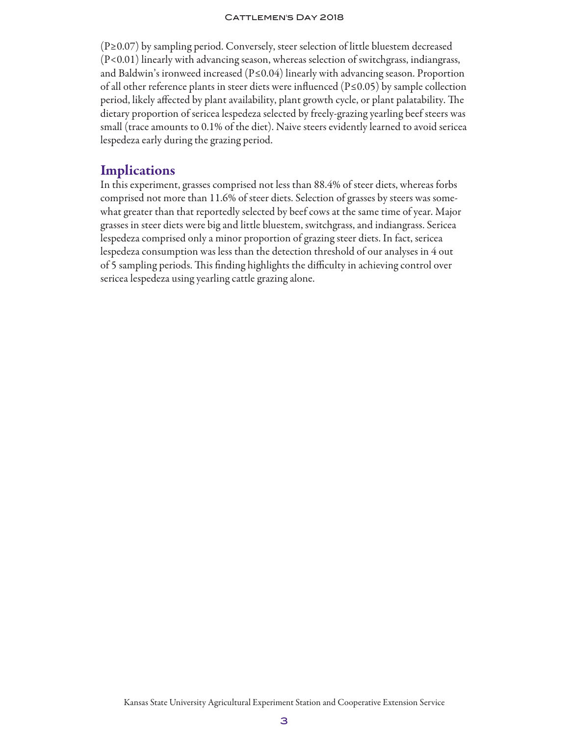#### CATTLEMEN'S DAY 2018

(P≥0.07) by sampling period. Conversely, steer selection of little bluestem decreased (P<0.01) linearly with advancing season, whereas selection of switchgrass, indiangrass, and Baldwin's ironweed increased (P≤0.04) linearly with advancing season. Proportion of all other reference plants in steer diets were influenced ( $P \le 0.05$ ) by sample collection period, likely affected by plant availability, plant growth cycle, or plant palatability. The dietary proportion of sericea lespedeza selected by freely-grazing yearling beef steers was small (trace amounts to 0.1% of the diet). Naive steers evidently learned to avoid sericea lespedeza early during the grazing period.

# **Implications**

In this experiment, grasses comprised not less than 88.4% of steer diets, whereas forbs comprised not more than 11.6% of steer diets. Selection of grasses by steers was somewhat greater than that reportedly selected by beef cows at the same time of year. Major grasses in steer diets were big and little bluestem, switchgrass, and indiangrass. Sericea lespedeza comprised only a minor proportion of grazing steer diets. In fact, sericea lespedeza consumption was less than the detection threshold of our analyses in 4 out of 5 sampling periods. This finding highlights the difficulty in achieving control over sericea lespedeza using yearling cattle grazing alone.